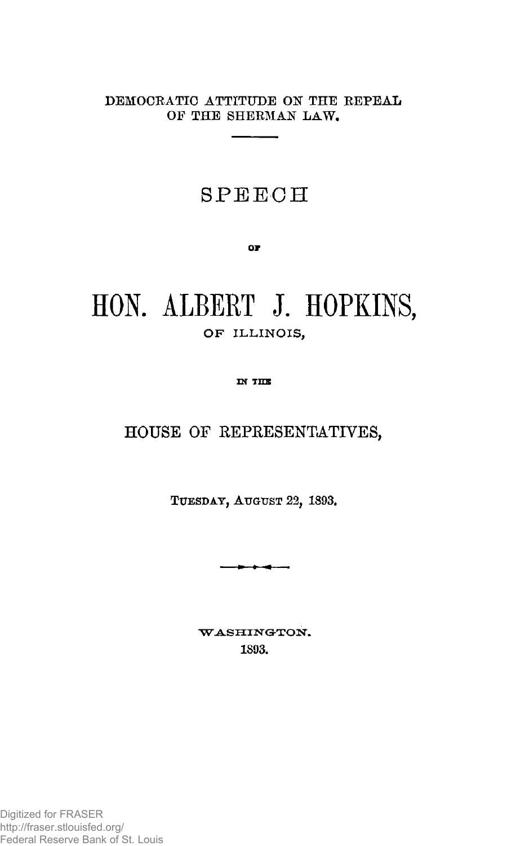**DEMOCRATIC ATTITUDE ON THE KEPEAL OF THE SHEKMAN LAW.** 

## **SPEECH**

OF

# **HON. ALBERT J. HOPKINS,**  OF ILLINOIS,

IN THE

#### **HOUSE OF REPRESENTATIVES,**

**TUESDAY, AUGUST 22, 1893,** 

----

WASHINGTON. **1S93,**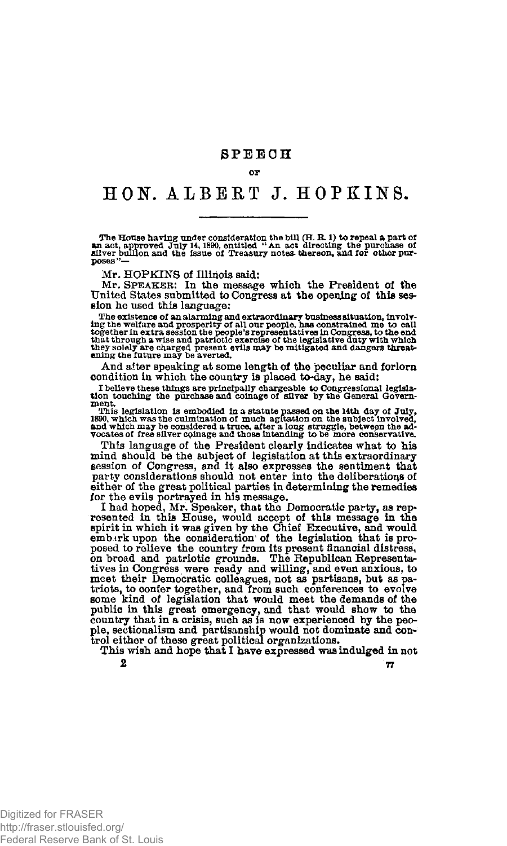#### or

### **HON. ALBERT J. HOPKINS.**

The House having under consideration the bill (H. R. 1) to repeal a part of<br>an act, approved July 14, 1890, entitled "An act directing the purchase of<br>silver bullion and the issue of Treasury notes thereon, and for other **poses"—** 

Mr. HOPKINS of Illinois said:

Mr. SPEAKER: In the message which the President of the United States submitted to Congress at the opening of this session he used this language:

The existence of an alarming and extraordinary business situation, involving the welfare and prosperity of all our people, has constrained me to call the fogether in extra session the people's representatives in Congress,

And after speaking at some length of the peculiar and forlorn condition in which the country is placed to-day, he said:

**I believe these things are principally chargeable to Congressional legisla-tion touching the purchase and coinage of silver by the General Government.** 

This legislation is embodied in a statute passed on the 14th day of July, 1890, which was the culmination of much agitation on the subject involved, and which may be considered a truce, after a long struggle, between the a

This language of the President clearly indicates what to his mind should be the subject of legislation at this extraordinary session of Congress, and it also expresses the sentiment that party considerations should not enter into the deliberations of either of the great political parties in determining the remedies for the evils portrayed in his message.

I had hoped, Mr. Speaker, that the Democratic party, as represented in this House, would accept of this message in the spirit in which it was given by the Chief Executive, and would ember the mb in the mb in the mb in the posed to relieve the country from its present financial distress, on broad and patriotic grounds. The Republican Representatives in Congress were ready and willing, and even anxious, to meet their Democratic colleagues, no triots, to confer together, and from such conferences to evolve some kind of legislation that would meet the demands of the public in this great emergency, and that would show to the country that in a crisis, such as is no trol either of these great political organizations.

This wish and hope that I have expressed was indulged in not  $\frac{1}{2}$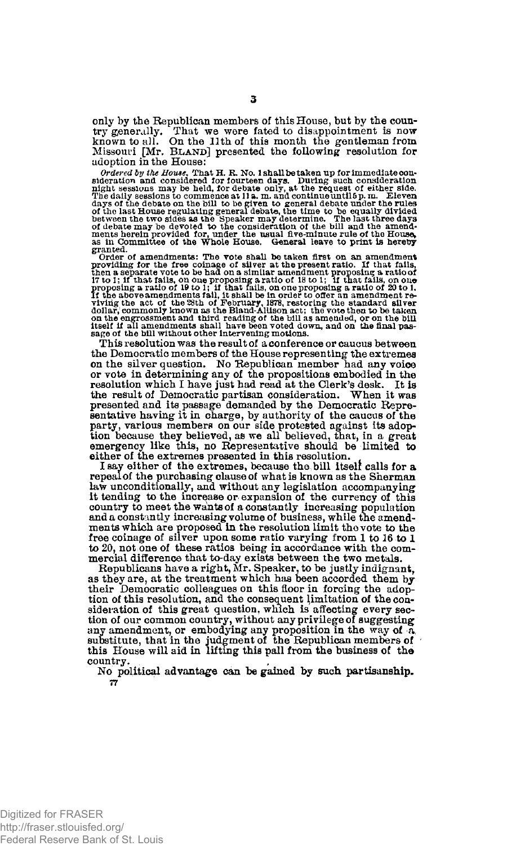only by the Republican members of this House, but by the country generally. That we were fated to disappointment is now known to all. On the 11th of this month the gentleman from Missouri [Mr. BLAND] presented the following resolution for adoption in the House:

Ordered by the House, That H. R. No. 1shall be taken up for immediate consideration and considered for fourteen days. During such ength sessions may be held, for debate only, at the request of either side. The daily sessi **granted.** 

Crder of amendments: The vote shall be taken first on an amendment<br>providing for the free coinage of silver at the present ratio. If that fails,<br>then a separate vote to be had on a similar amendment proposing a ratio of<br>p on the engrossment and third reading of the bill as amended, or on the bill<br>itself if all amendments shall have been voted down, and on the final pas-<br>sage of the bill without other intervening motions.

This resolution was the result of a conference or caucus between the Democratic members of the House representing the extremes on the silver question. No Republican member had any voice or vote in determining any of the propositions embodied in the resolution which I have just had read at the Clerk's desk. It is the result of Democratic partisan consideration. When it was presented and itspassage demanded by the Democratic Representative having it in charge, by authority of the caucus of the party, various members on our side protested against its adop-tion because they believed, as we all believed, that, in a great emergency like this, no Representative should be limited to either of the extremes presented in this resolution.

I **Bay** either of the extremes, because the bill itself calls for a repeal of the purchasing clause of what is known as the Sherman law unconditionally, and without any legislation accompanying it tending to the increase or expansion of the currency of this country to meet the wants of **a** constantly increasing population and **a** constantly increasing volume of business, while the amendments which are proposed in the resolution limit the vote to the free coinage of silver upon some ratio varying from 1 to 16 to I to 20, not one of these ratios being in accordance with the commercial difference that to-day exists between the two metals.

Republicans have a right, Mr. Speaker, to be justly indignant, as they are, at the treatment which has been accorded them by their Democratic colleagues on this floor in forcing the adoption of this resolution, and the consequent limitation of the consideration of this great question, which is affecting every section of our common country, without any privilege of suggesting any amendment, or embodying any proposition in the way of  $\bar{a}$ , substitute, that in the judgment of the Republican members of this House will aid in lifting this pall from the business of the country.

No political advantage can be gained by such partisanship. **77**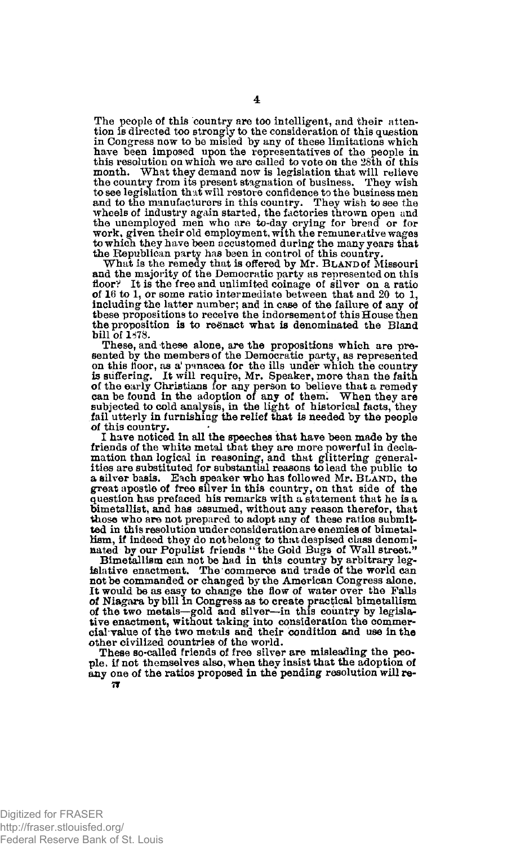The people of this country are too intelligent, and their attention is directed too strongly to the consideration of this question in Congress now to be misied by any of these limitations which have been imposed upon the representatives of the people in this resolution on which we are called to vote on the 25th of this month. What they demand now is l to see legislation th at will restore confidence to the business men and to the manufacturers in this country. They wish to see the wheels of industry again started, the factories thrown open and the unemployed men who are to-day crying for bread or for work, given their old employment, with the remunerative wages to which they have been accustomed during the many years that<br>the Republican party has been in control of this country.<br>What is the remedy that is offered by Mr. BLAND of Missouri

and the majority of the Democratic party as represented on this floor? It is the free and unlimited coinage of silver on a ratio of 16 to 1, or some ratio intermediate between that and 20 to 1, including the latter number; and in case of the failure of any of these propositions to receive the indorsement of this House then the proposition is to reenact what is denominated the Bland bill of  $1.478$ .

These, and these alone, are the propositions which are presented by the members of the Democratic party, as represented on this tioor, as a' panacea for the ills under which the country is suffering. It will require, Mr. Speaker, more than the faith of the early Christians for any person to believe that a remedy can be found in the adoption of any of them^ When they are subjected to cold analysis, in the light of historical facts, they fail utterly in furnishing the relief that is needed by the people of this country.

I have noticed in all the speeches that have been made by the friends of the white metal that they are more powerful in declamation than logical in reasoning, and that glittering general-ities are substituted for substantial reasons to lead the public to a silver basis. Each speaker who has followed Mr. BLAND, the great apostle of free silver in this country, on that side of the question has prefaced his remarks with a statement that he is a bimetallist, and has assumed, without any reason therefor, that those who are not prepared to adopt any of these ratios submitted in this resolution under consideration are enemies of bimetallism, if indeed they do not belong to that despised class denomi-nated by our Populist friends " the Gold Bugs of Wall street."

Bimetallism can not be had in this country by arbitrary leg-islative enactment. The commerce and trade of the world can not be commanded or changed by the American Congress alone. It would be as easy to change the flow of water over the Falls of Niagara by bill in Congress as to create practical bimetallism of the two metals—gold and silver—in this country by legislative enactment, without taking into consideration the commercial value of the two metals and their condition and use in the other civilized countries of the world.

These so-called friends of free silver are misleading the people. if not themselves also, when they insist that the adoption of any one of the ratios proposed in the pending resolution will re-*7f*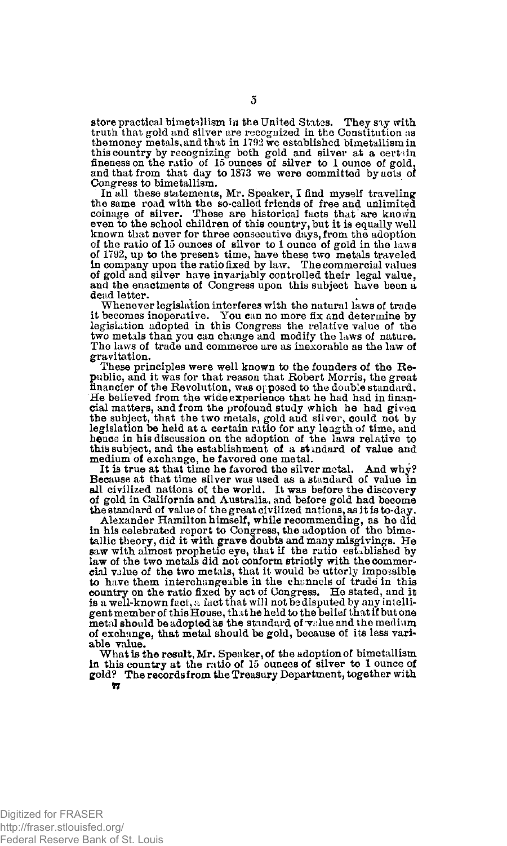store practical bimetallism in the United States. They say with truth that gold and silver are recognized in the Constitution as the money metals, and that in  $1792$  we established bimetallism in this country by recognizing both gold and silver at a certain fineness on the ratio of 15 ounces of silver to 1 ounce of gold, and that from that day to 1873 we were committed by acts of Congress to bimetallism.

In all these statements, Mr. Speaker, I find myself traveling the same road with the so-called friends of free and unlimited coinage of silver. These are historical facts that are known even to the school children of this country, but it is equally well known that never for three consecutive days, from the adoption of the ratio of 15 ounces of silver to 1 ounce of gold in the laws of 1792, up to the present time, have these two metals traveled<br>in company upon the ratio fixed by law. The commercial values<br>of gold and silver have invariably controlled their legal value,<br>and the enactments of Congress dead letter.

Whenever legislation interferes with the natural laws of trade it becomes inoperative. You can no more fix and determine by legislation adopted in this Congress the relative value of the two metals than you can change and modify the laws of nature. The laws of trade and commerce are as inexorable as the law of gravitation.

These principles were well known to the founders of the Republic, and it was for that reason that Robert Morris, the great financier of the Revolution, was opposed to the double standard. He believed from the wide experience that he had had in financial matters, and from the profound study which he had given the subject, that the two metals, gold and silver, could not by legislation be held at a certain ratio for any length of time, and hence in his discussion on the adoption of the laws relative to this subject, and the establishment of a standard of value and medium of exchange, he favored one metal.

It is true at that time he favored the silver metal. And why? Because at that time silver was used as a standard of value in all civilized nations *oi* the world. It was before the discovery of gold in California and Australia, and before gold had become the standard of value of the great civilized nations, as it is to-day.

Alexander Hamilton himself, while recommending, as he did in his celebrated report to Congress, the adoption of the bime-tallic theory, did it with grave doubts and many misgivings. He saw with almost prophetic eye, that if the ratio established by law of the two metals did not conform strictly with the commercial value of the two metals, that it would be utterly impossible to have them interchangeable in the channels of trade in this country on the ratio fixed by act of Congress. He stated, and it is a well-known fact, a fact that will not be disputed by any intelligent member of this House, that he held to the belief that if but one metal should be adopted as the standard of  $\mathbf{v}$ alue and the medium of exchange, that metal should be gold, because of its less variable value.

What is the result, Mr. Speaker, of the adoption of bimetallism in this country at the ratio of 15 ounces of silver to 1 ounce of gold? The records from the Treasury Department, together with **17** 

Digitized for FRASER http://fraser.stlouisfed.org/ Federal Reserve Bank of St. Louis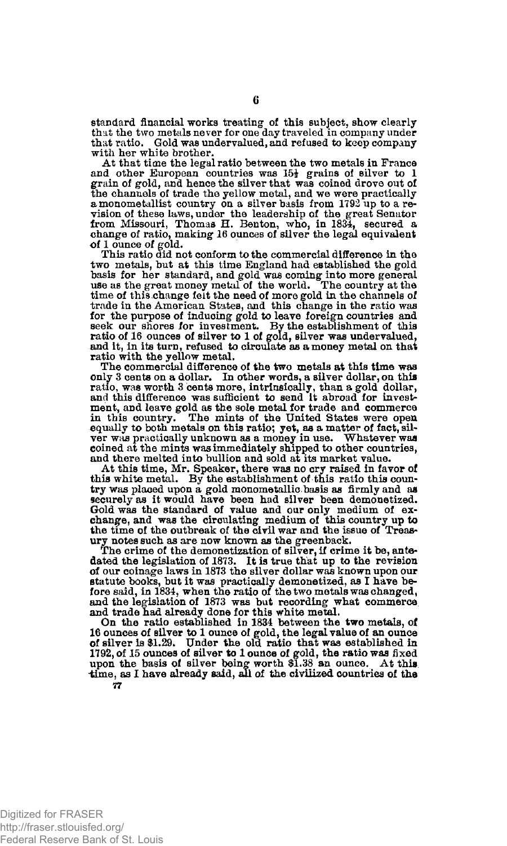standard financial works treating of this subject, show clearly that the two metals never for one day traveled in company under that ratio. Gold was undervalued, and refused to keep company with her white brother.

At that time the legal ratio between the two metals in France and other European countries was  $15\frac{1}{2}$  grains of silver to 1 grain of gold, and hence the silver that was coined drove out of the channels of trade the yellow metal, and we were practically a monometallist country on a silver basis from 1792 up to a revision of these laws, under the leadership of the great Senator from Missouri, Thomas H. Benton, who, in 1834, secured a change of ratio, making 16 ounces of silver the legal equivalent of 1 ounce of gold.

This ratio did not conform to the commercial difference in the two metals, but at this time England had established the gold basis for her standard, and gold was coming into more general use as the great money metal of the world. The country at the time of this change felt the need of more gold in the channels of trade in the American States, and this change in the ratio was for the purpose of inducing gold to leave foreign countries and seek our shores for investment. By the establishment of this ratio of 16 ounces of silver to 1 of gold, silver was undervalued, and it, in its turn, refused to circulate as a money metal on that ratio with the yellow metal.

The commercial difference of the two metals at this time was only 3 cents on a dollar. In other words, a silver dollar, on this ratio, was worth 3 cents more, intrinsically, than a gold dollar, and this difference was sufficient to send it abroad for investment, and leave gold as the sole metal for trade and commerce in this country. The mints of the United States were open equally to both metals on this ratio; yet, as a matter of fact, sil-ver was practically unknown as a money in use. Whatever was coined at the mints was immediately shipped to other countries, and there melted into bullion and sold at its market value.

At this time, Mr. Speaker, there was no cry raised in favor of this white metal. By the establishment of this ratio this country was placed upon a gold monometallic basis as firmly and as securely as it would have been had silver been demonetized. Gold was the standard of value and our only medium of exchange, and was the circulating medium of this country up to the time of the outbreak of the civil war and the issue of Treasury notes such as are now known as the greenback.

The crime of the demonetization of silver, if crime it be, antedated the legislation of 1873. It is true that up to the revision of our coinage laws in 1873 the silver dollar was known upon our statute books, but it was practically demonetized, as I have be-fore said, in 1834, when the ratio of the two metals was changed, and the legislation of 1873 was but recording what commerce and trade had already done for this white metal. On the ratio established in 1834 between the two metals, of

16 ounces of silver to 1 ounce of gold, the legal value of an ounce of silver is \$1.29. Under the old ratio that was established in 1792, of 15 ounces of silver to 1 ounce of gold, the ratio was fixed upon the basis of si time, as I have already said, all of the civilized countries of the **77**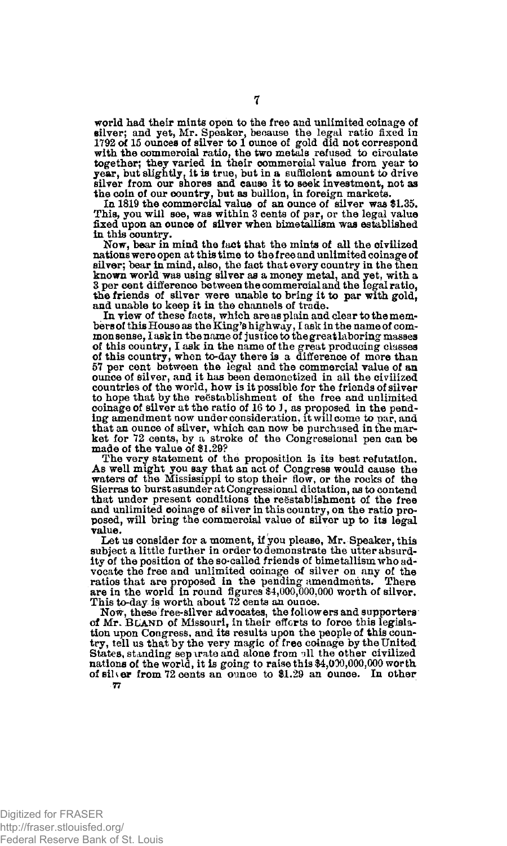world had their mints open to the free and unlimited coinage of silver; and yet, Mr. Speaker, because the legal ratio fixed in 1792 of 15 ounces of silver to 1 ounce of gold did not correspond with the commercial ratio, the two metals refused to circulate together; they varied in their commercial value from year to year, but slightly, it is true, but in a sufficient amount to drive silver from our shores and cause it to seek investment, not as

the coin of our country, but as bullion, in foreign markets.<br>In 1819 the commercial value of an ounce of silver was \$1.35.<br>This, you will see, was within 3 cents of par, or the legal value<br>fixed upon an ounce of silver whe in this country.

Now, bear in mind the fact that the mints of all the civilized nations were open at this time to the free and unlimited coinage of silver; bear in mind, also, the fact that every country in the then known world was using silver as a money metal, and yet, with a 3 per cent difference between the commercial and the legal ratio, the friends of silver were unable to bring it to par with gold, and unable to keep it in the channels of trade.

In view of these facts, which are as plain and clear to the mem-bers of this House as the King's highway, I ask in the name of com-monsense, Iask in the name of justice to the great laboring masses of this country, I ask in the name of the great producing classes of this country, when to-day there is a difference of more than 57 per cent between the legal and the commercial value of an ounce of silver, and it has been demonetized in all the civilized countries of the world, how is it possible for the friends of silver to hope that by the re8stablishment of the free and unlimited coinage of silver at the ratio of 16 to J, as proposed in the pending amendment now under consideration, it will come to par, and that an ounce of silver, which can now be purchased in the mar-ket for 72 cents, by a stroke of the Congressional pen can be made of the value of \$1.29?

The very statement of the proposition is its best refutation. As well might you say that an act of Congress would cause the waters of the Mississippi to stop their flow, or the rocks of the Sierras to burst asunder at Congressional dictation, as to contend that under present conditions the reestablishment of the free and unlimited coinage of silver in this country, on the ratio proposed, will bring the commercial value of silver up to its legal value.

Let us consider for a moment, if you please, Mr. Speaker, this subject a little further in order to demonstrate the utter absurdity of the position of the so-called friends of bimetallism who advocate the free and unlimited coinage of silver on any of the ratios that are proposed in the pending amendments. There ratios that are proposed in the pending amendments. There are in the world in round figures \$4,000,000,000 worth of silver. This to-day is worth about  $72$  cents an ounce.

Now, these free-silver advocates, the followers and supporters of Mr. BLAND of Missouri, in their efforts to force this legislation upon Congress, and its results upon the people of this country, tell us that by the very magic of free coinage by the United States, standing separate and alone from all the other civilized nations of the world, it is going to raise this  $34,030,000,000$  worth of silver from 72 cents an ounce to \$1.29 an ounce. In other *77*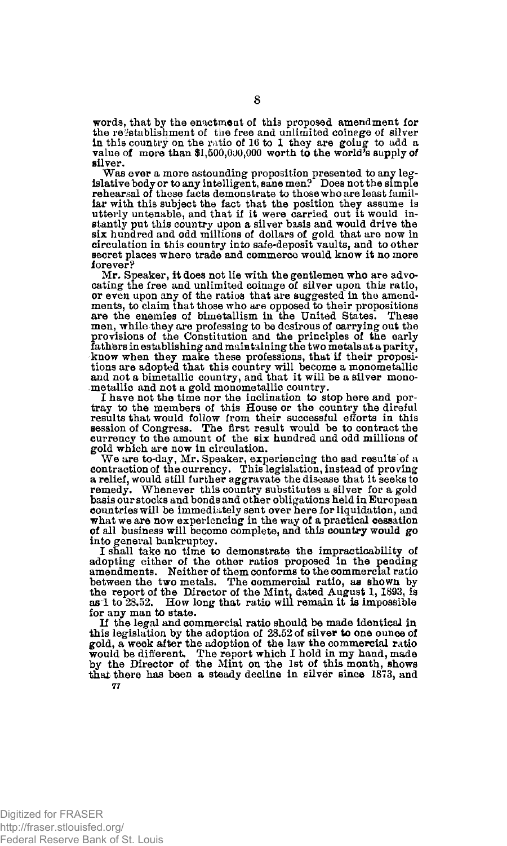words, that by the enactment of this proposed amendment for the restablishment of the free and unlimited coinage of silver in this country on the ratio of 16 to 1 they are goiug to add a value of more than \$1,500,000,000 worth to the world's supply of silver.

Was ever a more astounding proposition presented to any leg-islative body or to any intelligent, sane men? Does not the simple rehearsal of these facts demonstrate to those who are least familiar with this subject the fact that the position they assume is utterly untenable, and that if it were carried out it would in-stantly put this country upon a silver basis and would drive the six hundred and odd millions of dollars of gold that are now in circulation in this country into safe-deposit vaults, and to other secret places where trade and commerce would know it no more forever?

Mr. Speaker, it does not lie with the gentlemen who are advocating the free and unlimited coinage of silver upon this ratio, or even upon any of the ratios that are suggested in the amend-ments, to claim that those who are opposed to their propositions are the enemies of bimetallism in the United States. These men, while they are professing to be desirous of carrying out the provisions of the Constitution and the principles of the early fathers in establishing and maintaining the two metals at a parity, know when they make these professions, that if their propositions are adopted that this country will become a monometallic and not a bimetallic country, and that it will be a silver monometallic and not a gold monometallic country.

I have not the time nor the inclination to stop here and por-tray to the members of this House or the country the direful results that would follow from their successful efforts in this session of Congress. The first result would be to contract the currency to the amount of the six hundred and odd millions of gold which are now in circulation.

We are to-day, Mr. Speaker, experiencing the sad results of a contraction of the currency. This legislation, instead of proving a relief, would still further aggravate the disease that it seeks to remedy. Whenever this country substitutes a silver for a gold basis our stocks and bonds and other obligations held in European countries will be immediately sent over here for liquidation, and what we are now experiencing in the way of a practical cessation of all business will become complete, and this country would go into general bankruptcy.

I shall take no time to demonstrate the impracticability of adopting either of the other ratios proposed in the pending amendments. Neither of them conforms to the commercial ratio between the two metals. The commercial ratio, as shown by the report of the Director of the Mint, dated August 1, 1893, is as 1 to 28.52. How long that ratio will remain it is impossible for any man to state.

If the legal and commercial ratio should be made identical in this legislation by the adoption of 28.52 of silver to one ounce of gold, a week after the adoption of the law the commercial ratio would be different. The report which I hold in my hand, made by the Director of the Mint on the 1st of this month, shows that there has been a steady decline in silver since 1873, and **77**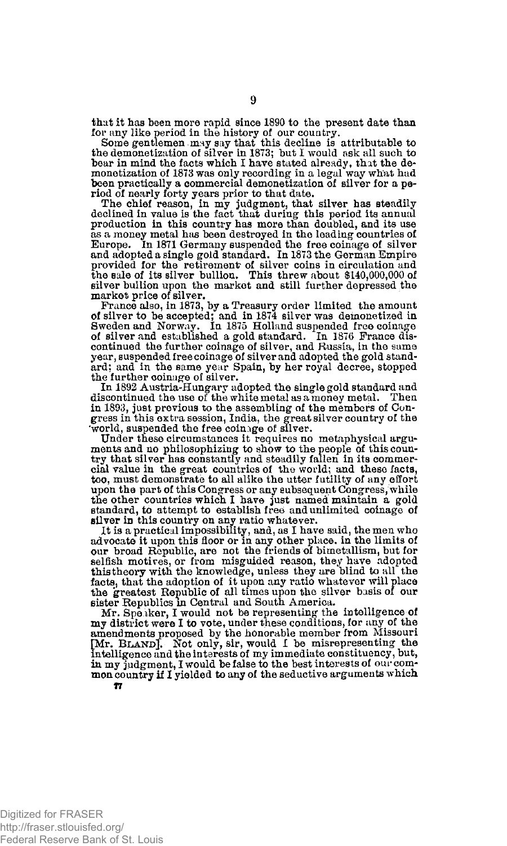that it has been more rapid since 1890 to the present date than for any like period in the history of our country.

Some gentlemen may say that this decline is attributable to the demonetization of silver in 1873; but I would ask all such to bear in mind the facts which I have stated already, that the de-monetization of 1873 was only recording in a legal way what had been practically a commercial demonetization of silver for a period of nearly forty years prior to that date.

The chief reason, in my judgment, that silver has steadily declined in value is the fact that during this period its annual production in this country has more than doubled, and its use as a money metal has been destroyed in the leading countries of Europe. In 1871 Germany suspended the free coinage of silver and adopted a single gold standard. In 1873 the German Empire provided for the retirement of silver coins in circulation and the sale of its silver bullion. This threw about \$140,000,000 of silver bullion upon the market and still further depressed the market price of silver.

France also, in 1873, by a Treasury order limited the amount<br>of silver to be accepted; and in 1874 silver was demonetized in<br>Sweden and Norway. In 1875 Holland suspended free coinage<br>of silver and established a gold standa continued the further coinage of silver, and Russia, in the same year, suspended free coinage of silver and adopted the gold standard; and in the same year Spain, by her royal decree, stopped<br>the further coinage of silver.

In 1892 Austria-Hungary adopted the single gold standard and discontinued the use of the white metal as a money metal. in 1893, just previous to the assembling of the members of Congress in this extra session, India, the great silver country of the 'world, suspended the free coinige of silver.

Under these circumstances it requires no metaphysical arguments and no philosophizing to show to the people of this coun-try that silver has constantly and steadily fallen in its commercial value in the great countries of the world; and these facts, too, must demonstrate to all alike the utter futility of any effort upon the part of this Congress or any subsequent Congress, while the other countries which I have just named maintain a gold standard, to attempt to establish free and unlimited coinage of silver in this country on any ratio whatever.

It is a practical impossibility, and, as I have said, the men who advocate it upon this floor or in any other place, in the limits of our broad Republic, are not the friends of bimetallism, but for selfish motives, or from misguided reason, they have adopted this theory with the knowledge, unless they are blind to all the facts, that the adoption of it upon any ratio whatever will place the greatest Republic of all times upon the silver basis of our sister Republics in Central and South America.

Mr. Speaker, I would not be representing the intelligence of my district were I to vote, under these conditions, for any of the amendments proposed by the honorable member from Missouri [Mr. **B**LAND**J**, Not only, sir, would **I** be misrepresenting the intelligence and the interests of my immediate constituency, but, in my judgment, I would be false to the best interests of our common country if I yielded to any of the seductive arguments which 17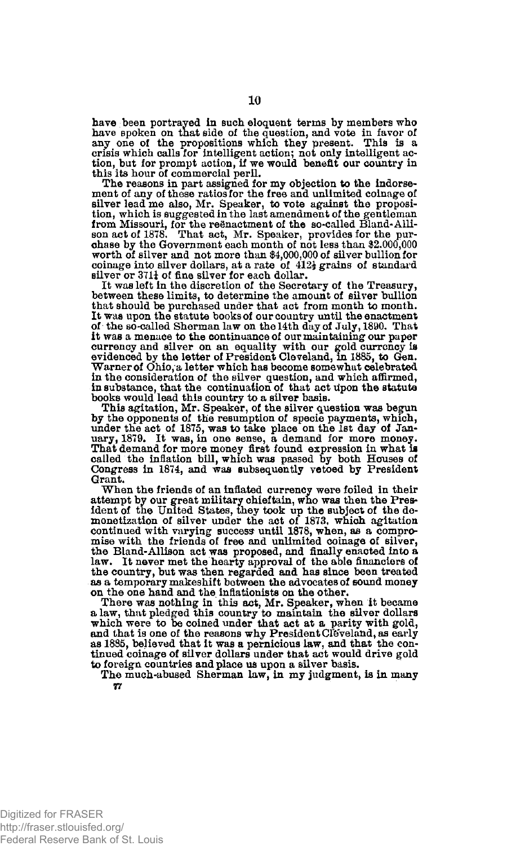have been portrayed in such eloquent terms by members who have spoken on that side of the question, and vote in favor of any one of the propositions which they present. This is a crisis which calls for intelligent action; not only intelligent ac-tion, but for prompt action, if we would benefit our country in this its hour of commercial peril.

The reasons in part assigned for my objection to the indorsement of any of these ratios for the free and unlimited coinage of silver lead me also, Mr. Speaker, to vote against the proposition, which is suggested in the last amendment of the gentleman<br>from Missouri, for the reënactment of the so-called Bland-Alli-<br>son act of 1878. That act, Mr. Speaker, provides for the purchase by the Government each month of not less than \$2,000,000 worth of silver and not more than \$4,000,000 of silver bullion for coinage into silver dollars, at a rate of  $412\frac{1}{2}$  grains of standard silver or 371<sup>1</sup> of fine silver for each dollar.

It was left in the discretion of the Secretary of the Treasury, between these limits, to determine the amount of silver bullion that should be purchased under that act from month to month. It was upon the statute books of our country until the enactment of the so-called Sherman law on the 14th day of July, 1890. That it was a menace to the continuance of our maintaining our paper currency and silver on an equality with our gold currcncy is evidenced by the letter of President Cleveland, In 1885, to Gen. Warner of Ohio, a letter which has become somewhat celebrated in the consideration of the silver question, and which affirmed, in substance, that the continuation of that act Upon the statute books would lead this country to a silver basis.

This agitation, Mr. Speaker, of the silver question was begun by the opponents of the resumption of specie payments, which, under the act of 1875, was to take place on the 1st day of Jan-uary, 1879. It was, in one sense, a demand for more money. That demand for more money first found expression in what is called the inflation bill, which was passed by both Houses of Congress in 1874, and was subsequently vetoed by President Grant.

When the friends of an inflated currency were foiled in their attempt by our great military chieftain, who was then the President of the United States, they took up the subject of the demonetization of silver under the act of 1873, which agitation continued with varying success until 1878, when, as a compromise with the friends of free and unlimited coinage of silver, the Bland-Allison act was proposed, and finally enacted into a law. It never met the hearty approval of the able financiers of the country, but was then regarded and has since been treated as a temporary makeshift between the advocates of sound money on the one hand and the inflationists on the other.

There was nothing in this act, Mr. Speaker, when it became a law, that pledged this country to maintain the silver dollars which were to be coined under that act at a parity with gold, and that is one of the reasons why President Cléveland, as early as 1885, believed that it was a pernicious law, and that the con-tinued coinage of silver dollars under that act would drive gold to foreign countries and place us upon a silver basis.

The much-abused Sherman law, in my judgment, is in many **77** 

Digitized for FRASER http://fraser.stlouisfed.org/ Federal Reserve Bank of St. Louis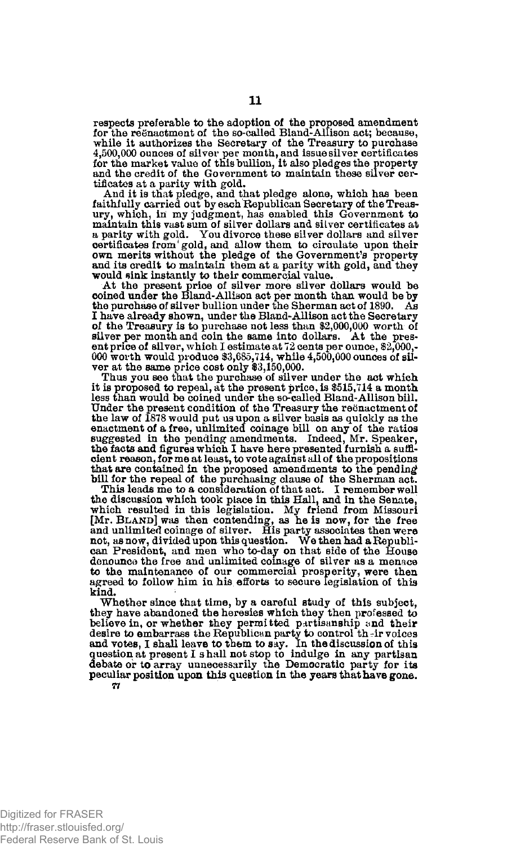respects preferable to the adoption of the proposed amendment for the reenactment of the so-called Bland-Allison act; because, while it authorizes the Secretary of the Treasury to purchase 4,500,000 ounces of silver per month, and issue silver certificates for the market value of this bullion, it also pledges the property and the credit of the Government to maintain these silver certificates at a parity with gold.

And it is that pledge, and that pledge alone, which has been faithfully carried out by each Republican Secretary of the Treasury, which, in my judgment, has enabled this Government to maintain this vast sum of silver dollars and silver certificates at a parity with gold. You divorce these silver dollars and silver certificates from'gold, and allow them to circulate upon their own merits without the pledge of the Government's property and its credit to maintain them at a parity with gold, and they would sink instantly to their commercial value.

At the present price of silver more silver dollars would be coined under the Bland-Allison act per month than would be by the purchase of silver bullion under the Sherman act of 1890. As I have already shown, under the Bland-Allison act the Secretary of the Treasury is to purchase not less than \$2,000,000 worth of silver per month and coin the same into dollars. At the present price of silver, which I estimate at 72 cents per ounce, \$2,000,- 000 worth would produce \$3,685,714, while 4,500,000 ounces of silver at the same price cost only \$3,150,000. Thus you see that the purchase of silver under the act which

it is proposed to repeal, at the present price, is \$515,714 a month less than would be coined under the so-called Bland-Allison bill. Under the present condition of the Treasury the reënactment of the law of 1878 would put us upon a silver basis as quickly as the enactment of a free, unlimited coinage bill on any of the ratios suggested in the pending amendments. Indeed, Mr. Speaker, the facts and figures which I have here presented furnish a sufficient reason, for me at least, to vote against all of the propositions that are contained in the proposed amendments to the pending

bill for the repeal of the purchasing clause of the Sherman act. This leads me to a consideration of that act. I remember well the discussion which took place in this Hall, and in the Senate, which resulted in this legislation. My friend from Missouri [Mr. BLAND] was then contending, as he is now, for the free and unlimited coinage of silver. His party associates then were not, as now, divided upon this question. We then had a Republican President, and men who to**-day** on that side of the House denounce the free and unlimited coinage of silver as a menace to the maintenance of our commercial prosperity, were then agreed to follow him in his efforts to secure legislation of this kind.

Whether since that time, by a careful study of this subject, they have abandoned the heresies which they then professed to believe in, or whether they permitted partisanship and their desire to embarrass the Republican party to control their volces<br>and votes, I shall leave to them to say. In the discussion of this<br>question at present I shall not stop to indulge in any partisan<br>debate or to array unneces peculiar position upon this question in the years that have gone. 77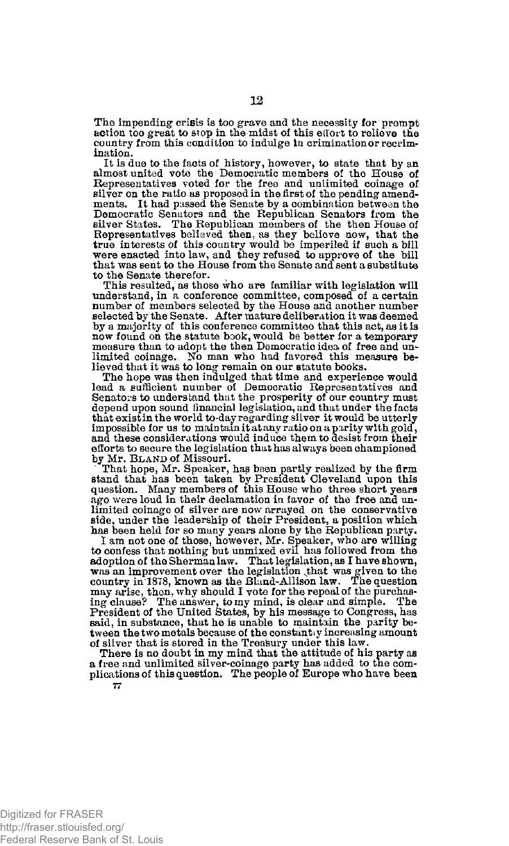The impending crisis is too grave and the necessity for prompt action too great to stop in the midst of this effort to relieve the country from this condition to indulge In crimination or recrimination.

It is due to the facts of history, however, to state that by an almost united vote the Democratic members of the House of Representatives voted for the free and unlimited coinage of silver on the ratio as proposed in the first of the pending amendments. It had passed the Senate by a combination between the Democratic Senators and the Republican Senators from the silver States. The Republican members of the then House of Representatives believed then, as they believe now, that the true interests Of this country would be imperiled if such a bill were enacted into law, and they refused to approve of the bill that was sent to the House from the Senate and sent a substitute to the Senate therefor.

This resulted, as those who are familiar with legislation will understand, in a conference committee, composed of a certain number of members selected by the House and another number selected by the Senate. After mature deliberation it was deemed by a majority of this conference committee that this act, as it is now found on the statute book, would be better for a temporary measure than to adopt the then Democratic idea of free and unlimited coinage. No man who had favored this measure believed that it was to long remain on our statute books.

The hope was then indulged that time and experience would lead a sufficient number of Democratic Representatives and Senators to understand that the prosperity of our country must depend upon sound financial legislation, and that under the facts that exist in the world to-day regarding silver it would be utterly impossible for us to maintain it at any ratio on a parity with gold, and these considerations would induce them to desist from their efforts to secure the legislation that has always been championed by Mr. BLAND of Missouri.

That hope, Mr. Speaker, has been partly realized by the firm stand that has been taken by President Cleveland upon this question. Many members of this House who three short years ago were loud in their declamation in favor of the free and unlimited coinage of silver are now arrayed on the conservative side, under the leadership of their President, a position which has been held for so many years alone by the Republican party.

I am not one of those, however, Mr. Speaker, who are willing to confess that nothing but unmixed evil has followed from the adoption of the Sherman law. That legislation, as I have shown, was an improvement over the legislation that was given to the country in 1878, known as the Bland-Allison law. The question may arise, then, why should I vote for the repeal of the purchas-ing clause? The answer, to my mind, is clear and simple. The President of the United States, by his message to Congress, has said, in substance, that he is unable to maintain the parity between the two metals because of the constantly increasing amount of silver that is stored in the Treasury under this law.

There is no doubt in my mind that the attitude of his party as a free and unlimited silver-coinage party has added to the complications of this question. The people of Europe who have been **77**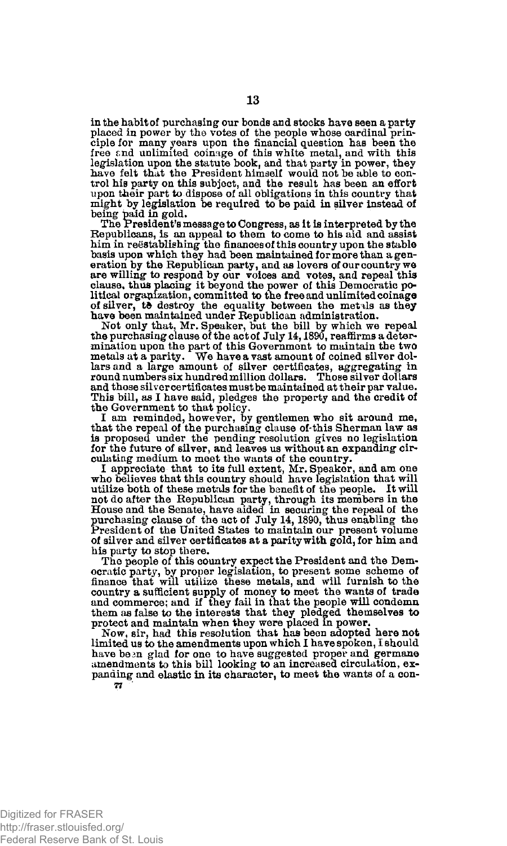in the habit of purchasing our bonds and stocks have seen a party placed in power by the votes of the people whose cardinal principle for many years upon the financial question has been the free f.nd unlimited coinage of this white metal, and with this legislation upon the statute book, and that party in power, they have felt that the President himself would not be able to control his party on this subject, and the result has been an effort upon their part to dispose of all obligations in this country that might by legislation be required to be paid in silver instead of being paid in gold.

The President's message to Congress, as it is interpreted by the Republicans, is an appeal to them to come to his aid and assist him in reestablishing the finances of this country upon the stable basis upon which they had been maintained for more than a generation by the Republican party, and as lovers of our country we are willing to respond by our voices and votes, and repeal this clause, thus placing it beyond the power of this Democratic political organization, committed to the free and unlimited coinage of silver, to destroy the equality between the metals as they have been maintained under Republican administration. Not only that, Mr. Speaker, but the bill by which we repeal

the purchasing clause of the act of July 14,1890, reaffirms a determination upon the part of this Government to maintain the two metals at a parity. We have a vast amount of coined silver dollars and a large amount of silver certificates, aggregating in round numbers six hundred million dollars. Those silver dollars and those silver certificates must be maintained at their par value. This bill, as I have said, pledges the property and the credit of the Government to that policy.

I am reminded, however, by gentlemen who sit around me, that the repeal of the purchasing clause of-this Sherman law as is proposed under the pending resolution gives no legislation for the future of silver, and leaves us without an expanding circulating medium to meet the wants of the country.

I appreciate that to its full extent, Mr. Speaker, and am one who believes that this country should have legislation that will utilize both of these metals for the benefit of the people. It will not do after the Republican party, through its members in the House and the Senate, have aided in securing the repeal of the purchasing clause of the act of July 14,1890, thus enabling the President of the United States to maintain our present volume of silver and silver certificates at a parity with gold, for him and his party to stop there.

The people of this country expect the President and the Democratic party, by proper legislation, to present some scheme of finance that will utilize these metals, and will furnish to the country a sufficient supply of money to meet the wants of trade and commerce, and if they fail them as false to the interests that they pledged themselves to protect and maintain when they were placed in power.

Now, sir, had this resolution that has been adopted here not limited us to the amendments upon which I have spoken, I should have been glad for one to have suggested proper and germane amendments to this bill looking to an increased circulation, expanding and elastic in its character, to meet the wants of a con-**77**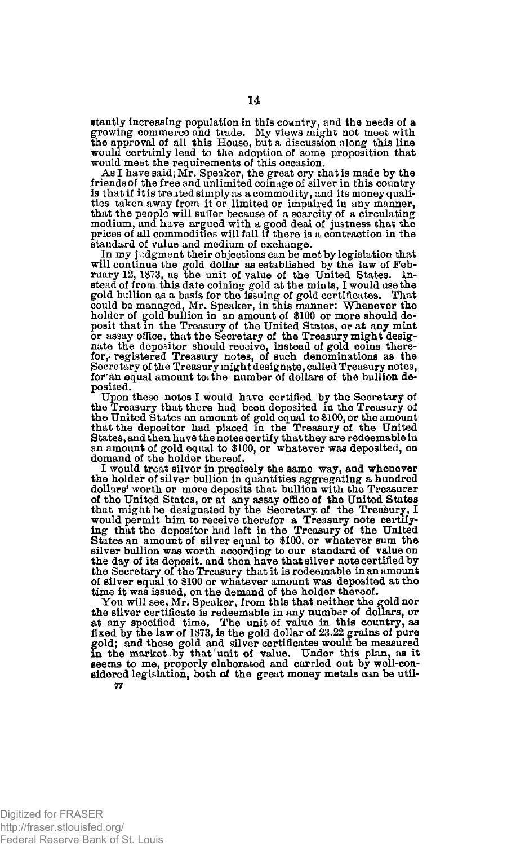stantly increasing population in this country, and the needs of a growing commerce and trade. My views might not meet with the approval of all this House, but a discussion along this line would certainly lead to the adoption of some proposition that would meet the requirements of this occasion.

As I have said, Mr. Speaker, the great cry that is made by the friends of the free and unlimited coinage of silver in this country is that if it is treated simply as a commodity, and its money quali-ties taken away from it or limited or impaired in any manner, that the people will suffer because of a scarcity of a circulating<br>medium, and have argued with a good deal of justness that the<br>prices of all commodities will fall if there is a contraction in the standard of value and medium of exchange.

In my judgment their objections can be met by legislation that will continue the gold dollar as established by the law of Feb-ruary 12, 1873, as the unit of value of the United States. Instead of from this date coining gold at the mints, I would use the gold bullion as a basis for the issuing of gold certificates. That could be managed, Mr. Speaker, in this manner: Whenever the holder of gold bullion in an amount of \$100 or more should de-posit that in the Treasury of the United States, or at any mint or assay office, that the Secretary of the Treasury might designate the depositor should receive, instead of gold coins there-<br>for, registered Treasury notes, of such denominations as the Secretary of the Treasury might designate, called Treasury notes, for an equal amount to the number of dollars of the bullion deposited.

Upon these notes I would have certified by the Secretary of the Treasury that there had been deposited in the Treasury of the United States an amount of gold equal to \$100, or the amount that the depositor had placed in the Treasury of the United States, and then have the notes certify that they are redeemable in an amount of gold equal to \$100, or whatever was deposited, on demand of the holder thereof.

I would treat silver in precisely the same way, and whenever the holder of silver bullion in quantities aggregating a hundred dollars' worth or more deposits that bullion with the Treasurer of the United States, or at any assay office of the United States that might be designated by the Secretary of the Treasury, I would permit him to receive therefor a Treasury note certify-ing that the depositor had left in the Treasury of the United States an amount of silver equal to \$100, or whatever sum the silver bullion was worth according to our standard of value on the day of its deposit, and then have that silver note certified by the Secretary of the Treasury that it is redeemable in an amount of silver equal to \$100 or whatever amount was deposited at the time it was issued, on the demand of the holder thereof.

You will see, Mr. Speaker, from this that neither the gold nor the silver certificate is redeemable in any number of dollars, or<br>at any specified time. The unit of value in this country, as<br>fixed by the law of 1873, is the gold dollar of 23.22 grains of pure<br>gold; and these gold and sidered legislation, both of the great money metals can be util-77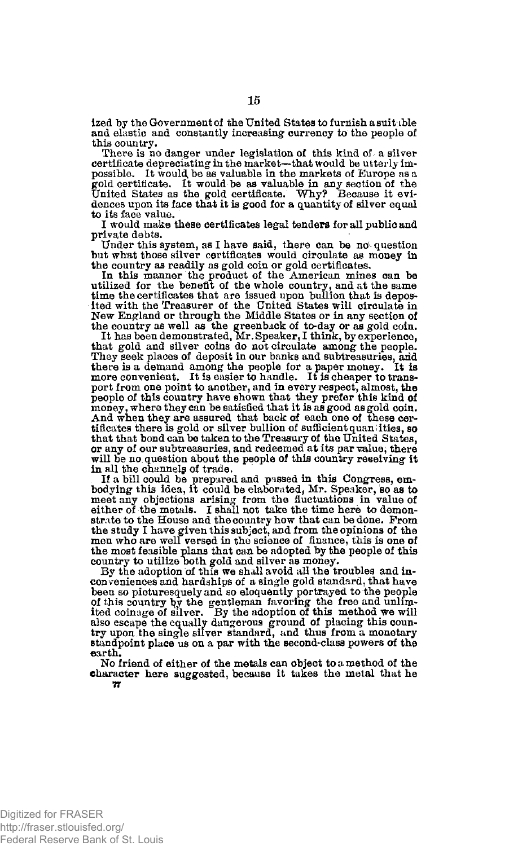ized by the Government of the United States to furnish a suitable and elastic and constantly increasing currency to the people of this country.

There is no danger under legislation of this kind of a silver certificate depreciating in the market—that would be utterly im-possible. It would, be as valuable in the markets of Europe as a gold certificate. It would be as valuable in any section of the United States as the gold certificate. Why? Because it evidences upon its face that it is good for a quantity of silver equal to its face value.

I would make these certificates legal tenders for all public and private debts.

Under this system, as I have said, there can be no-question but what those silver certificates would circulate as money in

the country as readily as gold coin or gold certificates.<br>In this manner the product of the American mines can be<br>utilized for the benefit of the whole country, and at the same<br>time the certificates that are issued upon bu ited with the Treasurer of the United States will circulate in New England or through the Niddle States or in any section of the country as well as the greenback of to-day or as gold coin. It has been demonstrated, Mr. Spe

that gold and silver coins do not circulate among the people. They seek places of deposit in our banks and subtreasuries, and there is a demand among the people for a paper money. It is more convenient. It is easier to handle. It is cheaper to transport from one point to another, and in every respect, almost, the people of this country have shown that they prefer this kind of money, where they can be satisfied that it is as good as gold coin. And when they are assured that back of each one of these cer-<br>tificates there is gold or silver bullion of sufficient quantities, so that that bond can be taken to the Treasury of the United States, or any of our subtreasuries, and redeemed at its par value, there will be no question about the people of this country reeeiving it in all the channels of trade.

If a bill could be prepared and passed in this Congress, em-bodying this idea, it could be elaborated, Mr. Speaker, so as to meet any objections arising from the fluctuations in value of either of the metals. I shall not take the time here to demonstrate to the House and the country how that can be done. Prom the study I have given this subject, and from the opinions of the men who are well versed in the science of finance, this is one of the most feasible plans that can be adopted by the people of this country to utilize hoth gold and silver as money.

By the adoption of this we shall avoid all the troubles and inconveniences and hardships of a single gold standard, that have been so picturesquely and so eloquently portrayed to the people of this country by the gentleman favoring the free and unlimited coinage of silver. By the adoption of this method we will also escape the equally dangerous ground of placing this country upon the single silver standard, and thus from a monetary standpoint place us on a par with the second-class powers of the earth.

No friend of either of the metals can object to a method of the character here suggested, because it takes the metal that he 7*r*